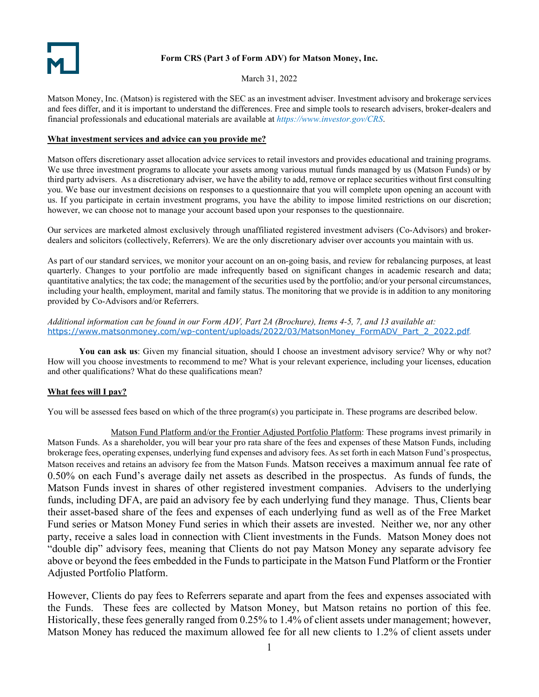# **Form CRS (Part 3 of Form ADV) for Matson Money, Inc.**

March 31, 2022

Matson Money, Inc. (Matson) is registered with the SEC as an investment adviser. Investment advisory and brokerage services and fees differ, and it is important to understand the differences. Free and simple tools to research advisers, broker-dealers and financial professionals and educational materials are available at *<https://www.investor.gov/CRS>*.

### **What investment services and advice can you provide me?**

Matson offers discretionary asset allocation advice services to retail investors and provides educational and training programs. We use three investment programs to allocate your assets among various mutual funds managed by us (Matson Funds) or by third party advisers. As a discretionary adviser, we have the ability to add, remove or replace securities without first consulting you. We base our investment decisions on responses to a questionnaire that you will complete upon opening an account with us. If you participate in certain investment programs, you have the ability to impose limited restrictions on our discretion; however, we can choose not to manage your account based upon your responses to the questionnaire.

Our services are marketed almost exclusively through unaffiliated registered investment advisers (Co-Advisors) and brokerdealers and solicitors (collectively, Referrers). We are the only discretionary adviser over accounts you maintain with us.

As part of our standard services, we monitor your account on an on-going basis, and review for rebalancing purposes, at least quarterly. Changes to your portfolio are made infrequently based on significant changes in academic research and data; quantitative analytics; the tax code; the management of the securities used by the portfolio; and/or your personal circumstances, including your health, employment, marital and family status. The monitoring that we provide is in addition to any monitoring provided by Co-Advisors and/or Referrers.

*Additional information can be found in our Form ADV, Part 2A (Brochure), Items 4-5, 7, and 13 available at[:](https://www.matsonmoney.com/wp-content/uploads/2021/04/MatsonMoney_ADV_Part_2_2021.pdf)* [https://www.matsonmoney.com/wp-content/uploads/2022/03/MatsonMoney\\_FormADV\\_Part\\_2\\_2022.pdf](https://www.matsonmoney.com/wp-content/uploads/2022/03/MatsonMoney_FormADV_Part_2_2022.pdf)*.*

**You can ask us**: Given my financial situation, should I choose an investment advisory service? Why or why not? How will you choose investments to recommend to me? What is your relevant experience, including your licenses, education and other qualifications? What do these qualifications mean?

# **What fees will I pay?**

You will be assessed fees based on which of the three program(s) you participate in. These programs are described below.

Matson Fund Platform and/or the Frontier Adjusted Portfolio Platform: These programs invest primarily in Matson Funds. As a shareholder, you will bear your pro rata share of the fees and expenses of these Matson Funds, including brokerage fees, operating expenses, underlying fund expenses and advisory fees. As set forth in each Matson Fund's prospectus, Matson receives and retains an advisory fee from the Matson Funds. Matson receives a maximum annual fee rate of 0.50% on each Fund's average daily net assets as described in the prospectus. As funds of funds, the Matson Funds invest in shares of other registered investment companies. Advisers to the underlying funds, including DFA, are paid an advisory fee by each underlying fund they manage. Thus, Clients bear their asset-based share of the fees and expenses of each underlying fund as well as of the Free Market Fund series or Matson Money Fund series in which their assets are invested. Neither we, nor any other party, receive a sales load in connection with Client investments in the Funds. Matson Money does not "double dip" advisory fees, meaning that Clients do not pay Matson Money any separate advisory fee above or beyond the fees embedded in the Funds to participate in the Matson Fund Platform or the Frontier Adjusted Portfolio Platform.

However, Clients do pay fees to Referrers separate and apart from the fees and expenses associated with the Funds. These fees are collected by Matson Money, but Matson retains no portion of this fee. Historically, these fees generally ranged from 0.25% to 1.4% of client assets under management; however, Matson Money has reduced the maximum allowed fee for all new clients to 1.2% of client assets under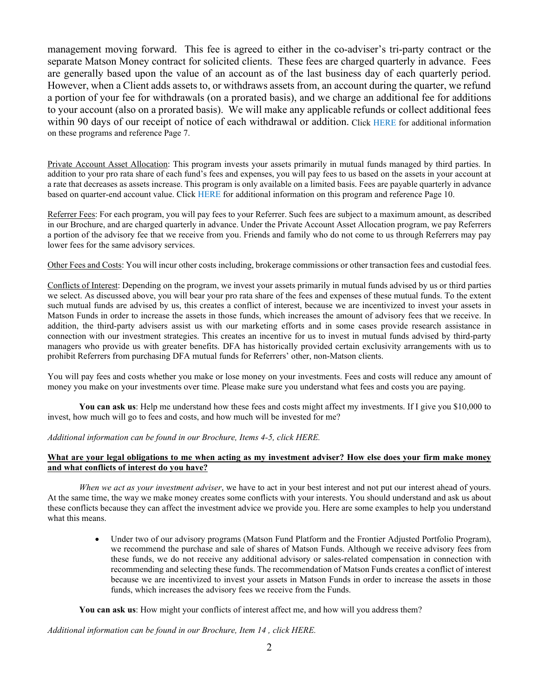management moving forward. This fee is agreed to either in the co-adviser's tri-party contract or the separate Matson Money contract for solicited clients. These fees are charged quarterly in advance. Fees are generally based upon the value of an account as of the last business day of each quarterly period. However, when a Client adds assets to, or withdraws assets from, an account during the quarter, we refund a portion of your fee for withdrawals (on a prorated basis), and we charge an additional fee for additions to your account (also on a prorated basis). We will make any applicable refunds or collect additional fees within 90 days of our receipt of notice of each withdrawal or addition. Click [HERE](https://www.matsonmoney.com/wp-content/uploads/2022/03/MatsonMoney_FormADV_Part_2_2022.pdf) for additional information on these programs and reference Page 7.

Private Account Asset Allocation: This program invests your assets primarily in mutual funds managed by third parties. In addition to your pro rata share of each fund's fees and expenses, you will pay fees to us based on the assets in your account at a rate that decreases as assets increase. This program is only available on a limited basis. Fees are payable quarterly in advance based on quarter-end account value. Click [HERE](https://www.matsonmoney.com/wp-content/uploads/2022/03/MatsonMoney_FormADV_Part_2_2022.pdf) for additional information on this program and reference Page 10.

Referrer Fees: For each program, you will pay fees to your Referrer. Such fees are subject to a maximum amount, as described in our Brochure, and are charged quarterly in advance. Under the Private Account Asset Allocation program, we pay Referrers a portion of the advisory fee that we receive from you. Friends and family who do not come to us through Referrers may pay lower fees for the same advisory services.

Other Fees and Costs: You will incur other costs including, brokerage commissions or other transaction fees and custodial fees.

Conflicts of Interest: Depending on the program, we invest your assets primarily in mutual funds advised by us or third parties we select. As discussed above, you will bear your pro rata share of the fees and expenses of these mutual funds. To the extent such mutual funds are advised by us, this creates a conflict of interest, because we are incentivized to invest your assets in Matson Funds in order to increase the assets in those funds, which increases the amount of advisory fees that we receive. In addition, the third-party advisers assist us with our marketing efforts and in some cases provide research assistance in connection with our investment strategies. This creates an incentive for us to invest in mutual funds advised by third-party managers who provide us with greater benefits. DFA has historically provided certain exclusivity arrangements with us to prohibit Referrers from purchasing DFA mutual funds for Referrers' other, non-Matson clients.

You will pay fees and costs whether you make or lose money on your investments. Fees and costs will reduce any amount of money you make on your investments over time. Please make sure you understand what fees and costs you are paying.

**You can ask us**: Help me understand how these fees and costs might affect my investments. If I give you \$10,000 to invest, how much will go to fees and costs, and how much will be invested for me?

*Additional information can be found in our Brochure, Items 4-5, click [HERE.](https://www.matsonmoney.com/wp-content/uploads/2022/03/MatsonMoney_FormADV_Part_2_2022.pdf)* 

### **What are your legal obligations to me when acting as my investment adviser? How else does your firm make money and what conflicts of interest do you have?**

*When we act as your investment adviser*, we have to act in your best interest and not put our interest ahead of yours. At the same time, the way we make money creates some conflicts with your interests. You should understand and ask us about these conflicts because they can affect the investment advice we provide you. Here are some examples to help you understand what this means.

> • Under two of our advisory programs (Matson Fund Platform and the Frontier Adjusted Portfolio Program), we recommend the purchase and sale of shares of Matson Funds. Although we receive advisory fees from these funds, we do not receive any additional advisory or sales-related compensation in connection with recommending and selecting these funds. The recommendation of Matson Funds creates a conflict of interest because we are incentivized to invest your assets in Matson Funds in order to increase the assets in those funds, which increases the advisory fees we receive from the Funds.

**You can ask us**: How might your conflicts of interest affect me, and how will you address them?

*Additional information can be found in our Brochure, Item 14 , click [HERE.](https://www.matsonmoney.com/wp-content/uploads/2022/03/MatsonMoney_FormADV_Part_2_2022.pdf)*